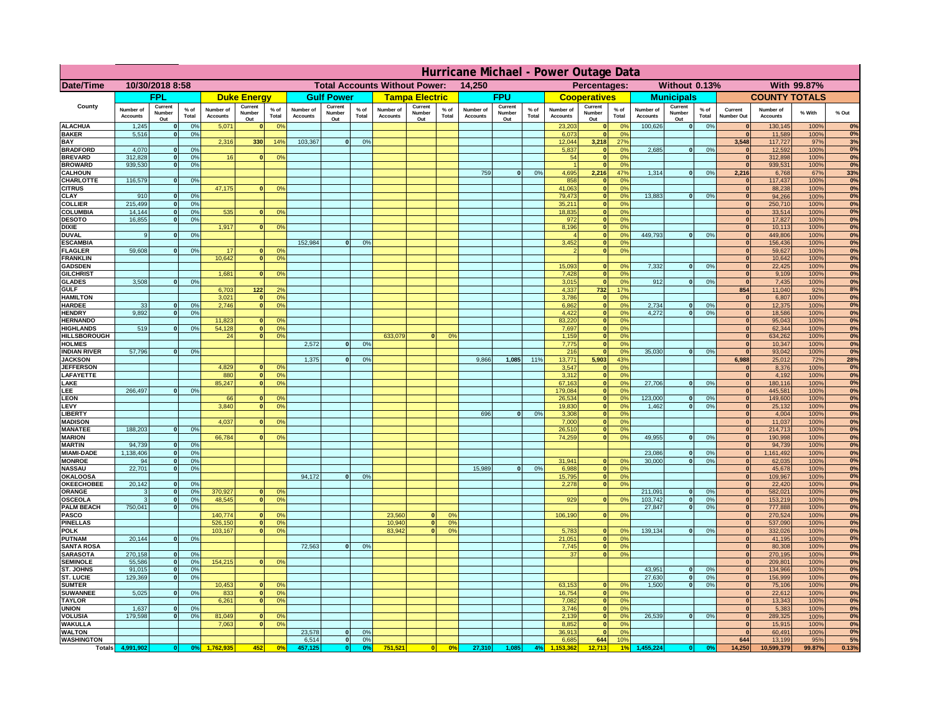|                                         | Hurricane Michael - Power Outage Data |                              |                      |                              |                                                |                                  |                              |                          |                                              |                              |                          |                 |                              |                          |               |                              |                          |                                               |                              |                          |                 |                              |                              |              |             |
|-----------------------------------------|---------------------------------------|------------------------------|----------------------|------------------------------|------------------------------------------------|----------------------------------|------------------------------|--------------------------|----------------------------------------------|------------------------------|--------------------------|-----------------|------------------------------|--------------------------|---------------|------------------------------|--------------------------|-----------------------------------------------|------------------------------|--------------------------|-----------------|------------------------------|------------------------------|--------------|-------------|
| Date/Time                               | 10/30/2018 8:58                       |                              |                      |                              | <b>Total Accounts Without Power:</b><br>14,250 |                                  |                              |                          | With 99.87%<br>Percentages:<br>Without 0.13% |                              |                          |                 |                              |                          |               |                              |                          |                                               |                              |                          |                 |                              |                              |              |             |
|                                         |                                       | <b>FPL</b>                   |                      |                              | <b>Duke Energy</b>                             |                                  |                              | <b>Gulf Power</b>        |                                              |                              | <b>Tampa Electric</b>    |                 |                              | <b>FPU</b>               |               |                              | <b>Cooperatives</b>      |                                               |                              | <b>Municipals</b>        |                 |                              | <b>COUNTY TOTALS</b>         |              |             |
| County                                  | Number of<br><b>Accounts</b>          | Current<br>Number<br>Out     | $%$ of<br>Total      | Number of<br><b>Accounts</b> | Current<br><b>Number</b><br>Out                | $%$ of<br>Total                  | Number of<br><b>Accounts</b> | Current<br>Number<br>Out | $%$ of<br>Total                              | Number of<br><b>Accounts</b> | Current<br>Number<br>Out | $%$ of<br>Total | Number of<br><b>Accounts</b> | Current<br>Number<br>Out | % of<br>Total | Number of<br><b>Accounts</b> | Current<br>Number<br>Out | $%$ of<br>Total                               | Number of<br><b>Accounts</b> | Current<br>Number<br>Out | $%$ of<br>Total | Current<br>Number Out        | Number of<br><b>Accounts</b> | % With       | % Out       |
| <b>ALACHUA</b><br><b>BAKER</b>          | 1,245<br>5,516                        | $\mathbf{0}$<br>$\mathbf{0}$ | 0%<br>0%             | 5,071                        |                                                | 0 <sup>9</sup>                   |                              |                          |                                              |                              |                          |                 |                              |                          |               | 23,203<br>6,073              | $\bf{0}$<br>$\mathbf{0}$ | $^{\circ}$<br>0 <sup>9</sup>                  | 100,626                      | 0                        | 0%              | $\mathbf{0}$<br>$\mathbf{0}$ | 130,145<br>11,589            | 100%<br>100% | 0%<br>0%    |
| BAY                                     |                                       |                              |                      | 2,316                        | 330                                            | 14%                              | 103,367                      | 0                        | 0%                                           |                              |                          |                 |                              |                          |               | 12,044                       | 3,218                    | 27 <sup>o</sup>                               |                              |                          |                 | 3,548                        | 117,727                      | 97%          | 3%          |
| <b>BRADFORD</b><br><b>BREVARD</b>       | 4,070<br>312.828                      | $\Omega$<br>$\mathbf{0}$     | 0%<br>0%             | 16                           |                                                | 0 <sup>o</sup>                   |                              |                          |                                              |                              |                          |                 |                              |                          |               | 5,837<br>54                  | 0 <br> 0                 | 0 <sup>9</sup><br>0 <sup>9</sup>              | 2,685                        | 0                        | 0%              | $\Omega$<br> 0               | 12,592<br>312,898            | 100%<br>100% | 0%<br>0%    |
| <b>BROWARD</b>                          | 939.530                               | $\mathbf{0}$                 | 0%                   |                              |                                                |                                  |                              |                          |                                              |                              |                          |                 |                              |                          |               |                              | 0                        | 0%                                            |                              |                          |                 | 0                            | 939,531                      | 100%         | 0%          |
| <b>CALHOUN</b>                          |                                       |                              |                      |                              |                                                |                                  |                              |                          |                                              |                              |                          |                 | 759                          | 0                        | 0%            | 4,695                        | 2,216                    | 47%                                           | 1,314                        | 0                        | 0%              | 2,216                        | 6,768                        | 67%          | 33%         |
| CHARLOTTE<br><b>CITRUS</b>              | 116,579                               | $\mathbf{0}$                 | 0%                   | 47,175                       |                                                | 0 <sup>o</sup>                   |                              |                          |                                              |                              |                          |                 |                              |                          |               | 858<br>41.063                | 0 <br> 0                 | 0%<br>0 <sup>9</sup>                          |                              |                          |                 | $\mathbf{0}$<br>$\mathbf{0}$ | 117,437<br>88.238            | 100%<br>100% | 0%<br>0%    |
| CLAY                                    | 910                                   |                              | 0 <sup>9</sup>       |                              |                                                |                                  |                              |                          |                                              |                              |                          |                 |                              |                          |               | 79,473                       | 0                        | 0%                                            | 13,883                       | 0                        | 0%              | $\bf{0}$                     | 94,266                       | 100%         | 0%          |
| <b>COLLIER</b><br>COLUMBIA              | 215,499<br>14,144                     |                              | 0%<br>0%             |                              |                                                | 0 <sup>o</sup>                   |                              |                          |                                              |                              |                          |                 |                              |                          |               | 35,211<br>18,835             | 0 <br> 0                 | 0 <sup>9</sup><br>0 <sup>9</sup>              |                              |                          |                 | $\mathbf{0}$<br>$\mathbf{0}$ | 250,710<br>33,514            | 100%<br>100% | 0%<br>0%    |
| <b>DESOTO</b>                           | 16,855                                |                              | 0%                   | 535                          |                                                |                                  |                              |                          |                                              |                              |                          |                 |                              |                          |               | 972                          | 0                        | 0 <sup>9</sup>                                |                              |                          |                 | $\mathbf{0}$                 | 17,827                       | 100%         | 0%          |
| <b>DIXIE</b>                            |                                       |                              |                      | 1,917                        |                                                | 0 <sup>o</sup>                   |                              |                          |                                              |                              |                          |                 |                              |                          |               | 8,196                        | 0                        | 0 <sup>9</sup>                                |                              |                          |                 | $\mathbf{0}$                 | 10,113                       | 100%         | 0%          |
| <b>DUVAL</b><br><b>ESCAMBIA</b>         | 9                                     |                              | 0 <sup>9</sup>       |                              |                                                |                                  | 152,984                      | $\Omega$                 | 0 <sup>9</sup>                               |                              |                          |                 |                              |                          |               | 3,452                        | 0 <br>$\mathbf{0}$       | 0 <sup>o</sup><br>0 <sup>o</sup>              | 449,793                      | 0                        | 0%              | $\mathbf{0}$<br>$\mathbf{0}$ | 449,806<br>156,436           | 100%<br>100% | 0%<br>$0\%$ |
| <b>FLAGLER</b>                          | 59,608                                | $\mathbf{0}$                 | 0 <sup>9</sup>       | 17                           |                                                | 0 <sup>9</sup>                   |                              |                          |                                              |                              |                          |                 |                              |                          |               |                              | 0                        | 0 <sup>9</sup>                                |                              |                          |                 | $\mathbf{0}$                 | 59,627                       | 100%         | 0%          |
| <b>FRANKLIN</b>                         |                                       |                              |                      | 10,642                       |                                                | 0 <sup>9</sup>                   |                              |                          |                                              |                              |                          |                 |                              |                          |               |                              |                          |                                               |                              |                          |                 | $\mathbf{0}$                 | 10,642                       | 100%         | 0%          |
| <b>GADSDEN</b><br><b>GILCHRIST</b>      |                                       |                              |                      | 1.681                        |                                                | 0 <sup>9</sup>                   |                              |                          |                                              |                              |                          |                 |                              |                          |               | 15,093<br>7,428              | $\mathbf{0}$<br> 0       | 0 <sup>9</sup><br>0 <sup>9</sup>              | 7,332                        | 0                        | 0%              | 0 <br> 0                     | 22,425<br>9,109              | 100%<br>100% | 0%<br>0%    |
| <b>GLADES</b>                           | 3.508                                 |                              | 0%                   |                              |                                                |                                  |                              |                          |                                              |                              |                          |                 |                              |                          |               | 3,015                        | 0                        | 0%                                            | 912                          | 0                        | 0%              | 0                            | 7,435                        | 100%         | 0%          |
| <b>GULF</b>                             |                                       |                              |                      | 6,703                        | $122$                                          | 2 <sup>o</sup>                   |                              |                          |                                              |                              |                          |                 |                              |                          |               | 4,337                        | 732                      | 17%                                           |                              |                          |                 | 854                          | 11,040                       | 92%          | 8%          |
| <b>HAMILTON</b><br><b>HARDEE</b>        | 33                                    | $\mathbf{0}$                 | 0%                   | 3,021<br>2,746               | $\sqrt{2}$                                     | 0 <sup>9</sup><br>0 <sup>9</sup> |                              |                          |                                              |                              |                          |                 |                              |                          |               | 3,786<br>6,862               | 0                        | 0%<br> 0 <br>0%                               | 2,734                        | $\mathbf{0}$             | 0%              | 0 <br> 0                     | 6,807<br>12,375              | 100%<br>100% | 0%<br>0%    |
| <b>HENDRY</b>                           | 9.892                                 | $\Omega$                     | 0 <sup>9</sup>       |                              |                                                |                                  |                              |                          |                                              |                              |                          |                 |                              |                          |               | 4,422                        |                          | 0 <br>0%                                      | 4.272                        | 0                        | 0%              | 0                            | 18,586                       | 100%         | 0%          |
| <b>HERNANDO</b>                         |                                       |                              |                      | 11,823                       |                                                | 0 <sup>o</sup>                   |                              |                          |                                              |                              |                          |                 |                              |                          |               | 83,220                       |                          | 0 <br>0 <sup>9</sup>                          |                              |                          |                 | 0                            | 95,043                       | 100%         | 0%          |
| <b>HIGHLANDS</b><br><b>HILLSBOROUGH</b> | 519                                   | $\Omega$                     | 0%                   | 54,128<br>24                 |                                                | 0 <sup>9</sup><br>0 <sup>9</sup> |                              |                          |                                              | 633,079                      | $\Omega$                 | 0 <sup>9</sup>  |                              |                          |               | 7,697<br>1,159               |                          | 0 <br>0 <sup>9</sup><br> 0 <br>0 <sup>9</sup> |                              |                          |                 | 0 <br> 0                     | 62,344<br>634,262            | 100%<br>100% | 0%<br>0%    |
| <b>HOLMES</b>                           |                                       |                              |                      |                              |                                                |                                  | 2,572                        | $\Omega$                 | 0 <sup>9</sup>                               |                              |                          |                 |                              |                          |               | 7,775                        | 0                        | 0 <sup>9</sup>                                |                              |                          |                 | $\mathbf{0}$                 | 10,347                       | 100%         | 0%          |
| <b>INDIAN RIVER</b>                     | 57,796                                |                              | 0%                   |                              |                                                |                                  |                              | $\Omega$                 |                                              |                              |                          |                 |                              |                          |               | 216                          | 0                        | 0 <sup>9</sup>                                | 35.030                       | $\mathbf{0}$             | 0%              | $\mathbf{0}$                 | 93,042                       | 100%         | 0%<br>28%   |
| <b>JACKSON</b><br><b>JEFFERSON</b>      |                                       |                              |                      | 4.829                        |                                                | 0 <sup>9</sup>                   | 1,375                        |                          | 0 <sup>9</sup>                               |                              |                          |                 | 9,866                        | 1,085                    | 11%           | 13,771<br>3.547              | 5,903<br>$\mathbf{0}$    | 43%<br>0 <sup>9</sup>                         |                              |                          |                 | 6,988<br>$\mathbf{0}$        | 25,012<br>8,376              | 72%<br>100%  | 0%          |
| LAFAYETTE                               |                                       |                              |                      | 880                          | n.                                             | 0 <sup>9</sup>                   |                              |                          |                                              |                              |                          |                 |                              |                          |               | 3.312                        |                          | $\mathbf{0}$<br>0%                            |                              |                          |                 | 0                            | 4.192                        | 100%         | 0%          |
| LAKE<br>LEE                             | 266,497                               |                              | 0%                   | 85,247                       |                                                | 0%                               |                              |                          |                                              |                              |                          |                 |                              |                          |               | 67,163<br>179,084            |                          | 0 <br>0%<br>0%<br> 0                          | 27,706                       | $\mathbf{0}$             | 0%              | 0 <br> 0                     | 180,116<br>445,581           | 100%<br>100% | 0%<br>0%    |
| <b>LEON</b>                             |                                       |                              |                      | 66                           |                                                | 0 <sup>9</sup>                   |                              |                          |                                              |                              |                          |                 |                              |                          |               | 26,534                       |                          | 0 <br>0%                                      | 123,000                      | $\mathbf{0}$             | 0%              | 0                            | 149,600                      | 100%         | 0%          |
| LEVY                                    |                                       |                              |                      | 3,840                        |                                                | 0 <sup>9</sup>                   |                              |                          |                                              |                              |                          |                 |                              |                          |               | 19,830                       |                          | 0%<br> 0                                      | 1,462                        | $\mathbf{0}$             | 0%              | 0                            | 25,132                       | 100%         | 0%          |
| <b>LIBERT</b><br><b>MADISON</b>         |                                       |                              |                      | 4,037                        |                                                | 0 <sup>o</sup>                   |                              |                          |                                              |                              |                          |                 | 696                          | $\Omega$                 | 0%            | 3,308<br>7,000               |                          | 0%<br> 0 <br>0%<br> 0                         |                              |                          |                 | 0 <br> 0                     | 4,004<br>11,037              | 100%<br>100% | 0%<br>0%    |
| <b>MANATEE</b>                          | 188,203                               | $\mathbf{0}$                 | 0 <sup>9</sup>       |                              |                                                |                                  |                              |                          |                                              |                              |                          |                 |                              |                          |               | 26,510                       |                          | 0%<br> 0                                      |                              |                          |                 | 0                            | 214,713                      | 100%         | 0%          |
| <b>MARION</b>                           |                                       |                              |                      | 66,784                       |                                                | 0 <sup>9</sup>                   |                              |                          |                                              |                              |                          |                 |                              |                          |               | 74,259                       |                          | 0 <br>0%                                      | 49,955                       | 0                        | 0%              | $\mathbf{0}$                 | 190,998                      | 100%         | 0%          |
| <b>MARTIN</b><br><b>MIAMI-DADE</b>      | 94,739<br>1,138,406                   | $\mathbf{0}$<br> 0           | 0 <sup>9</sup><br>0% |                              |                                                |                                  |                              |                          |                                              |                              |                          |                 |                              |                          |               |                              |                          |                                               | 23,086                       | 0                        | 0%              | 0 <br> 0                     | 94,739<br>1,161,492          | 100%<br>100% | 0%<br>0%    |
| <b>MONROE</b>                           | 94                                    | -ol                          | 0%                   |                              |                                                |                                  |                              |                          |                                              |                              |                          |                 |                              |                          |               | 31,941                       | $\mathbf{0}$             | 0 <sup>9</sup>                                | 30,000                       | 0                        | 0%              | $\mathbf{0}$                 | 62,035                       | 100%         | 0%          |
| <b>NASSAU</b><br><b>OKALOOSA</b>        | 22,701                                | 0                            | 0%                   |                              |                                                |                                  | 94,172                       | 0                        | 0%                                           |                              |                          |                 | 15,989                       | 0                        | 0%            | 6,988<br>15,795              |                          | 0 <br>0%<br>0%                                |                              |                          |                 | 0 <br> 0                     | 45,678                       | 100%<br>100% | 0%<br>0%    |
| <b>OKEECHOBEE</b>                       | 20,142                                | 0                            | 0%                   |                              |                                                |                                  |                              |                          |                                              |                              |                          |                 |                              |                          |               | 2,278                        |                          | 0 <br>0%<br> 0                                |                              |                          |                 | 0                            | 109,967<br>22,420            | 100%         | 0%          |
| ORANGE                                  | 3                                     | 0                            | 0%                   | 370,927                      |                                                | 0 <sup>9</sup>                   |                              |                          |                                              |                              |                          |                 |                              |                          |               |                              |                          |                                               | 211,091                      | 0                        | 0%              | 0                            | 582,021                      | 100%         | 0%          |
| <b>OSCEOLA</b><br><b>PALM BEACH</b>     | 3<br>750,041                          | 0 <br> 0                     | 0%<br>0%             | 48,545                       | $\bullet$                                      | 0%                               |                              |                          |                                              |                              |                          |                 |                              |                          |               | 929                          |                          | 0 <br>0%                                      | 103,742<br>27,847            | 0 <br> 0                 | 0%<br>0%        | 0 <br> 0                     | 153,219<br>777,888           | 100%<br>100% | 0%<br>0%    |
| <b>PASCO</b>                            |                                       |                              |                      | 140,774                      |                                                | 0 <sup>9</sup>                   |                              |                          |                                              | 23,560                       | $\mathbf{0}$             | O <sup>o</sup>  |                              |                          |               | 106,190                      |                          | 0%<br> 0                                      |                              |                          |                 | 0                            | 270,524                      | 100%         | 0%          |
| <b>PINELLAS</b>                         |                                       |                              |                      | 526,150                      | $\mathbf{0}$                                   | 0%                               |                              |                          |                                              | 10,940                       | 0                        | 0 <sup>9</sup>  |                              |                          |               |                              |                          |                                               |                              |                          |                 | 0                            | 537,090                      | 100%         | 0%          |
| <b>POLK</b><br><b>PUTNAM</b>            | 20,144                                | 0                            | 0%                   | 103,167                      | $\Omega$                                       | 0 <sup>9</sup>                   |                              |                          |                                              | 83,942                       | 0                        | 0 <sup>o</sup>  |                              |                          |               | 5,783<br>21,051              |                          | 0 <br>$^{\circ}$<br>0 <sup>9</sup><br> 0      | 139,134                      | 0                        | 0%              | 0 <br> 0                     | 332,026<br>41,195            | 100%<br>100% | 0%<br>0%    |
| <b>SANTA ROSA</b>                       |                                       |                              |                      |                              |                                                |                                  | 72,563                       | 0                        | 0%                                           |                              |                          |                 |                              |                          |               | 7,745                        |                          | 0 <sup>9</sup><br> 0                          |                              |                          |                 | $\Omega$                     | 80,308                       | 100%         | 0%          |
| <b>SARASOTA</b>                         | 270,158                               | 0                            | 0 <sup>9</sup>       |                              |                                                |                                  |                              |                          |                                              |                              |                          |                 |                              |                          |               | 37                           |                          | 0%<br> 0                                      |                              |                          |                 | $\mathbf{0}$                 | 270,195                      | 100%         | 0%          |
| <b>SEMINOLE</b><br>ST. JOHNS            | 55,586<br>91,015                      | 0 <br> 0                     | 0 <sup>9</sup><br>0% | 154,215                      | $\mathbf{0}$                                   | 0 <sup>9</sup>                   |                              |                          |                                              |                              |                          |                 |                              |                          |               |                              |                          |                                               | 43,951                       | 0                        | 0%              | 0 <br>$\mathbf{0}$           | 209,801<br>134,966           | 100%<br>100% | 0%<br>0%    |
| ST. LUCIE                               | 129,369                               | $\mathbf{0}$                 | 0%                   |                              |                                                |                                  |                              |                          |                                              |                              |                          |                 |                              |                          |               |                              |                          |                                               | 27,630                       | 0                        | 0%              | $\mathbf{0}$                 | 156,999                      | 100%         | 0%          |
| <b>SUMTER</b>                           |                                       |                              |                      | 10,453                       |                                                | 0 <sup>9</sup>                   |                              |                          |                                              |                              |                          |                 |                              |                          |               | 63,153                       |                          | 0 <sup>9</sup><br>$\mathbf{0}$                | 1.500                        | 0                        | 0%              | 0                            | 75,106                       | 100%         | 0%          |
| <b>SUWANNEE</b><br><b>TAYLOR</b>        | 5,025                                 | $\Omega$                     | 0%                   | 833<br>6,261                 | $\mathbf{0}$                                   | 0 <sup>9</sup><br>0%             |                              |                          |                                              |                              |                          |                 |                              |                          |               | 16,754<br>7,082              | 0                        | 0 <br>0%<br>0%                                |                              |                          |                 | $\mathbf{0}$<br> 0           | 22,612<br>13,343             | 100%<br>100% | 0%<br>0%    |
| <b>UNION</b>                            | 1.637                                 | $\mathbf{0}$                 | 0%                   |                              |                                                |                                  |                              |                          |                                              |                              |                          |                 |                              |                          |               | 3.746                        |                          | 0%<br> 0                                      |                              |                          |                 | $\mathbf{0}$                 | 5,383                        | 100%         | $0\%$       |
| <b>VOLUSIA</b><br><b>WAKULLA</b>        | 179.598                               | $\mathbf{0}$                 | 0%                   | 81,049<br>7,063              |                                                | 0 <sup>9</sup><br>0 <sup>o</sup> |                              |                          |                                              |                              |                          |                 |                              |                          |               | 2.139<br>8,852               | 0                        | 0 <br>0%<br>0%                                | 26.539                       | 0                        | 0%              | $\mathbf{0}$<br>$\mathbf{0}$ | 289,325<br>15,915            | 100%<br>100% | 0%<br>0%    |
| <b>WALTON</b>                           |                                       |                              |                      |                              |                                                |                                  | 23,578                       | 0                        | 0 <sup>9</sup>                               |                              |                          |                 |                              |                          |               | 36,913                       | 0                        | 0%                                            |                              |                          |                 | 0                            | 60,491                       | 100%         | 0%          |
| <b>WASHINGTON</b>                       |                                       |                              |                      |                              |                                                |                                  | 6,514                        | 0                        | 0%                                           |                              |                          |                 |                              |                          |               | 6,685                        | 644                      | 10%                                           |                              |                          |                 | 644                          | 13,199                       | 95%          | 5%          |
| <b>Totals</b>                           | 4,991,902                             | 0                            | 0 <sup>o</sup>       |                              | 452                                            | 0 <sup>5</sup>                   | 457,125                      | 0                        | 0 <sup>9</sup>                               | 751,521                      | 0                        | 0%              | 27,310                       | 1,085                    | 4%            |                              | 12,713                   |                                               | 455,224                      |                          | 0 <sup>o</sup>  | 14,250                       | 10,599,379                   | 99.87%       | 0.13%       |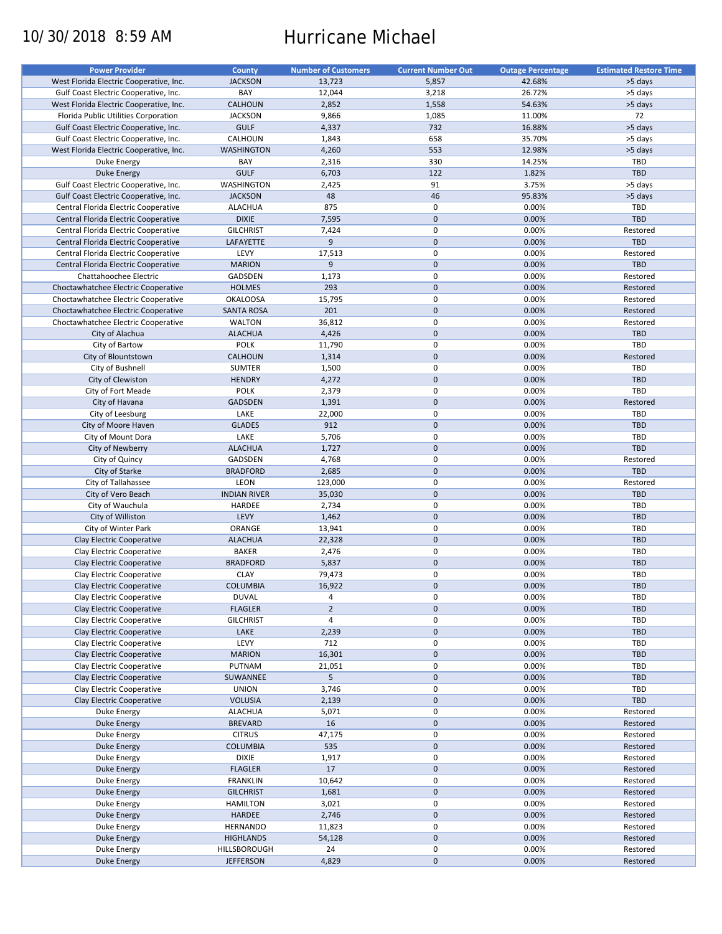# 10/30/2018 8:59 AM Hurricane Michael

| <b>Power Provider</b>                   | County              | <b>Number of Customers</b> | <b>Current Number Out</b> | <b>Outage Percentage</b> | <b>Estimated Restore Time</b> |
|-----------------------------------------|---------------------|----------------------------|---------------------------|--------------------------|-------------------------------|
| West Florida Electric Cooperative, Inc. | <b>JACKSON</b>      | 13,723                     | 5,857                     | 42.68%                   | >5 days                       |
| Gulf Coast Electric Cooperative, Inc.   | BAY                 | 12,044                     | 3,218                     | 26.72%                   | >5 days                       |
| West Florida Electric Cooperative, Inc. | <b>CALHOUN</b>      | 2,852                      | 1,558                     | 54.63%                   | >5 days                       |
|                                         |                     |                            |                           |                          | 72                            |
| Florida Public Utilities Corporation    | <b>JACKSON</b>      | 9,866                      | 1,085                     | 11.00%                   |                               |
| Gulf Coast Electric Cooperative, Inc.   | <b>GULF</b>         | 4,337                      | 732                       | 16.88%                   | >5 days                       |
| Gulf Coast Electric Cooperative, Inc.   | CALHOUN             | 1,843                      | 658                       | 35.70%                   | >5 days                       |
| West Florida Electric Cooperative, Inc. | <b>WASHINGTON</b>   | 4,260                      | 553                       | 12.98%                   | >5 days                       |
| Duke Energy                             | BAY                 | 2,316                      | 330                       | 14.25%                   | TBD                           |
| Duke Energy                             | <b>GULF</b>         | 6,703                      | 122                       | 1.82%                    | <b>TBD</b>                    |
| Gulf Coast Electric Cooperative, Inc.   | <b>WASHINGTON</b>   | 2,425                      | 91                        | 3.75%                    | >5 days                       |
| Gulf Coast Electric Cooperative, Inc.   | <b>JACKSON</b>      | 48                         | 46                        | 95.83%                   | >5 days                       |
| Central Florida Electric Cooperative    | <b>ALACHUA</b>      | 875                        | $\mathsf 0$               | 0.00%                    | TBD                           |
| Central Florida Electric Cooperative    | <b>DIXIE</b>        | 7,595                      | $\mathbf 0$               | 0.00%                    | TBD                           |
|                                         |                     |                            | $\mathbf 0$               |                          |                               |
| Central Florida Electric Cooperative    | <b>GILCHRIST</b>    | 7,424                      |                           | 0.00%                    | Restored                      |
| Central Florida Electric Cooperative    | LAFAYETTE           | 9                          | $\mathbf{0}$              | 0.00%                    | <b>TBD</b>                    |
| Central Florida Electric Cooperative    | LEVY                | 17,513                     | $\mathsf 0$               | 0.00%                    | Restored                      |
| Central Florida Electric Cooperative    | <b>MARION</b>       | $\overline{9}$             | $\mathbf{0}$              | 0.00%                    | <b>TBD</b>                    |
| Chattahoochee Electric                  | GADSDEN             | 1,173                      | $\mathbf 0$               | 0.00%                    | Restored                      |
| Choctawhatchee Electric Cooperative     | <b>HOLMES</b>       | 293                        | $\mathbf 0$               | 0.00%                    | Restored                      |
| Choctawhatchee Electric Cooperative     | <b>OKALOOSA</b>     | 15,795                     | $\mathbf 0$               | 0.00%                    | Restored                      |
| Choctawhatchee Electric Cooperative     | <b>SANTA ROSA</b>   | 201                        | $\mathbf 0$               | 0.00%                    | Restored                      |
| Choctawhatchee Electric Cooperative     | <b>WALTON</b>       | 36,812                     | $\mathbf 0$               | 0.00%                    | Restored                      |
|                                         | <b>ALACHUA</b>      | 4,426                      | $\mathbf 0$               | 0.00%                    | TBD                           |
| City of Alachua                         |                     |                            |                           |                          |                               |
| City of Bartow                          | <b>POLK</b>         | 11,790                     | $\mathsf 0$               | 0.00%                    | TBD                           |
| City of Blountstown                     | <b>CALHOUN</b>      | 1,314                      | $\mathbf 0$               | 0.00%                    | Restored                      |
| City of Bushnell                        | <b>SUMTER</b>       | 1,500                      | $\mathbf 0$               | 0.00%                    | <b>TBD</b>                    |
| City of Clewiston                       | <b>HENDRY</b>       | 4,272                      | $\mathbf 0$               | 0.00%                    | TBD                           |
| City of Fort Meade                      | <b>POLK</b>         | 2,379                      | $\mathbf 0$               | 0.00%                    | TBD                           |
| City of Havana                          | <b>GADSDEN</b>      | 1,391                      | $\mathbf 0$               | 0.00%                    | Restored                      |
| City of Leesburg                        | LAKE                | 22,000                     | $\mathbf 0$               | 0.00%                    | TBD                           |
| City of Moore Haven                     | <b>GLADES</b>       | 912                        | $\mathbf 0$               | 0.00%                    | <b>TBD</b>                    |
|                                         |                     |                            |                           |                          |                               |
| City of Mount Dora                      | LAKE                | 5,706                      | $\mathsf 0$               | 0.00%                    | TBD                           |
| City of Newberry                        | <b>ALACHUA</b>      | 1,727                      | $\mathbf 0$               | 0.00%                    | <b>TBD</b>                    |
| City of Quincy                          | GADSDEN             | 4,768                      | $\mathsf 0$               | 0.00%                    | Restored                      |
| City of Starke                          | <b>BRADFORD</b>     | 2,685                      | $\mathbf 0$               | 0.00%                    | TBD                           |
| City of Tallahassee                     | LEON                | 123,000                    | 0                         | 0.00%                    | Restored                      |
| City of Vero Beach                      | <b>INDIAN RIVER</b> | 35,030                     | $\mathbf 0$               | 0.00%                    | <b>TBD</b>                    |
| City of Wauchula                        | HARDEE              | 2,734                      | $\mathbf 0$               | 0.00%                    | <b>TBD</b>                    |
| City of Williston                       | LEVY                | 1,462                      | $\mathbf 0$               | 0.00%                    | <b>TBD</b>                    |
| City of Winter Park                     | ORANGE              | 13,941                     | $\mathsf 0$               | 0.00%                    | <b>TBD</b>                    |
|                                         | <b>ALACHUA</b>      | 22,328                     | $\mathbf 0$               | 0.00%                    | <b>TBD</b>                    |
| Clay Electric Cooperative               |                     |                            |                           |                          |                               |
| Clay Electric Cooperative               | <b>BAKER</b>        | 2,476                      | $\mathbf 0$               | 0.00%                    | <b>TBD</b>                    |
| Clay Electric Cooperative               | <b>BRADFORD</b>     | 5,837                      | $\mathbf 0$               | 0.00%                    | TBD                           |
| Clay Electric Cooperative               | <b>CLAY</b>         | 79,473                     | 0                         | 0.00%                    | <b>TBD</b>                    |
| Clay Electric Cooperative               | <b>COLUMBIA</b>     | 16,922                     | $\mathbf{0}$              | 0.00%                    | <b>TBD</b>                    |
| Clay Electric Cooperative               | <b>DUVAL</b>        | 4                          | $\pmb{0}$                 | 0.00%                    | <b>TBD</b>                    |
| Clay Electric Cooperative               | <b>FLAGLER</b>      | $\overline{2}$             | $\pmb{0}$                 | 0.00%                    | TBD                           |
| Clay Electric Cooperative               | <b>GILCHRIST</b>    | 4                          | $\pmb{0}$                 | 0.00%                    | <b>TBD</b>                    |
| Clay Electric Cooperative               | LAKE                | 2,239                      | $\pmb{0}$                 | 0.00%                    | <b>TBD</b>                    |
| Clay Electric Cooperative               | LEVY                | 712                        | $\pmb{0}$                 | 0.00%                    | TBD                           |
|                                         |                     |                            | $\pmb{0}$                 | 0.00%                    |                               |
| Clay Electric Cooperative               | <b>MARION</b>       | 16,301                     |                           |                          | TBD                           |
| Clay Electric Cooperative               | PUTNAM              | 21,051                     | $\pmb{0}$                 | 0.00%                    | <b>TBD</b>                    |
| Clay Electric Cooperative               | SUWANNEE            | 5                          | $\pmb{0}$                 | 0.00%                    | <b>TBD</b>                    |
| Clay Electric Cooperative               | <b>UNION</b>        | 3,746                      | $\pmb{0}$                 | 0.00%                    | <b>TBD</b>                    |
| Clay Electric Cooperative               | <b>VOLUSIA</b>      | 2,139                      | 0                         | 0.00%                    | TBD                           |
| Duke Energy                             | <b>ALACHUA</b>      | 5,071                      | $\pmb{0}$                 | 0.00%                    | Restored                      |
| Duke Energy                             | <b>BREVARD</b>      | 16                         | $\pmb{0}$                 | 0.00%                    | Restored                      |
| Duke Energy                             | <b>CITRUS</b>       | 47,175                     | $\pmb{0}$                 | 0.00%                    | Restored                      |
|                                         |                     | 535                        | $\pmb{0}$                 | 0.00%                    | Restored                      |
| Duke Energy                             | COLUMBIA            |                            |                           |                          |                               |
| Duke Energy                             | <b>DIXIE</b>        | 1,917                      | 0                         | 0.00%                    | Restored                      |
| <b>Duke Energy</b>                      | <b>FLAGLER</b>      | 17                         | $\pmb{0}$                 | 0.00%                    | Restored                      |
| Duke Energy                             | <b>FRANKLIN</b>     | 10,642                     | $\pmb{0}$                 | 0.00%                    | Restored                      |
| <b>Duke Energy</b>                      | <b>GILCHRIST</b>    | 1,681                      | $\pmb{0}$                 | 0.00%                    | Restored                      |
| Duke Energy                             | <b>HAMILTON</b>     | 3,021                      | 0                         | 0.00%                    | Restored                      |
| <b>Duke Energy</b>                      | HARDEE              | 2,746                      | $\pmb{0}$                 | 0.00%                    | Restored                      |
| Duke Energy                             | <b>HERNANDO</b>     | 11,823                     | $\pmb{0}$                 | 0.00%                    | Restored                      |
| <b>Duke Energy</b>                      | <b>HIGHLANDS</b>    | 54,128                     | 0                         | 0.00%                    | Restored                      |
|                                         | HILLSBOROUGH        | 24                         | 0                         |                          | Restored                      |
| Duke Energy                             |                     |                            |                           | 0.00%                    |                               |
| <b>Duke Energy</b>                      | <b>JEFFERSON</b>    | 4,829                      | $\pmb{0}$                 | 0.00%                    | Restored                      |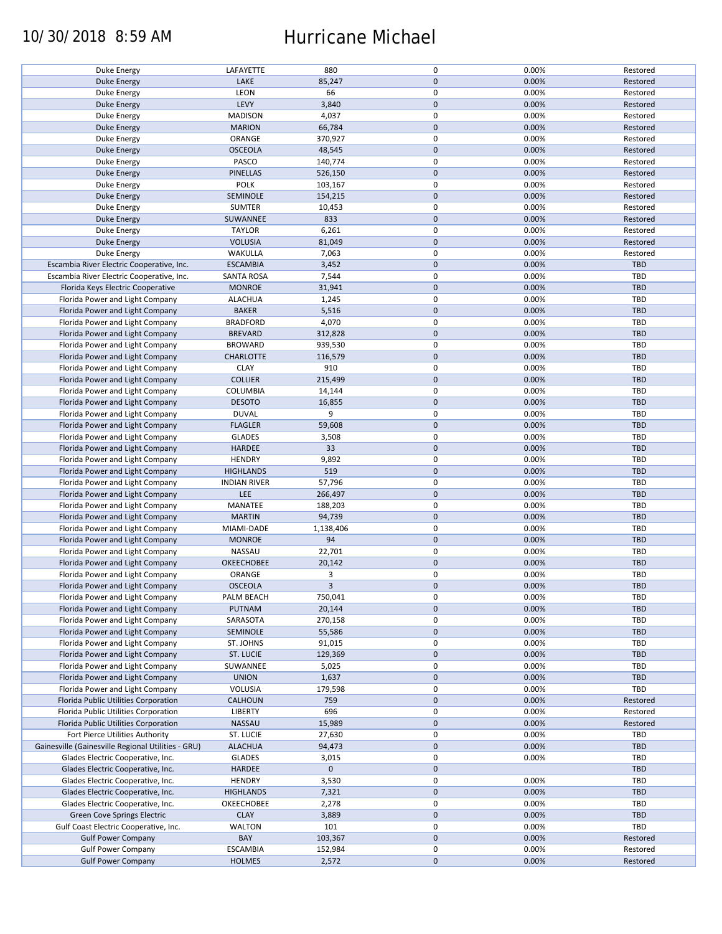### 10/30/2018 8:59 AM Hurricane Michael

| Duke Energy                                        | LAFAYETTE           | 880         | 0            | 0.00% | Restored   |
|----------------------------------------------------|---------------------|-------------|--------------|-------|------------|
|                                                    | LAKE                | 85,247      | $\mathbf{0}$ | 0.00% | Restored   |
| Duke Energy                                        |                     |             |              |       |            |
| Duke Energy                                        | LEON                | 66          | $\mathbf 0$  | 0.00% | Restored   |
| Duke Energy                                        | LEVY                | 3,840       | $\mathbf 0$  | 0.00% | Restored   |
| Duke Energy                                        | <b>MADISON</b>      | 4,037       | $\mathsf 0$  | 0.00% | Restored   |
| Duke Energy                                        | <b>MARION</b>       | 66,784      | $\mathbf 0$  | 0.00% | Restored   |
| Duke Energy                                        | ORANGE              | 370,927     | $\mathsf 0$  | 0.00% | Restored   |
| Duke Energy                                        | <b>OSCEOLA</b>      | 48,545      | $\mathbf 0$  | 0.00% | Restored   |
| Duke Energy                                        | PASCO               | 140,774     | $\mathsf 0$  | 0.00% | Restored   |
| Duke Energy                                        | <b>PINELLAS</b>     | 526,150     | $\mathbf 0$  | 0.00% | Restored   |
| Duke Energy                                        | <b>POLK</b>         | 103,167     | $\pmb{0}$    | 0.00% | Restored   |
| Duke Energy                                        | SEMINOLE            | 154,215     | $\mathbf 0$  | 0.00% | Restored   |
| Duke Energy                                        | <b>SUMTER</b>       | 10,453      | $\pmb{0}$    | 0.00% | Restored   |
| <b>Duke Energy</b>                                 | SUWANNEE            | 833         | $\mathbf 0$  | 0.00% | Restored   |
| Duke Energy                                        | <b>TAYLOR</b>       | 6,261       | $\mathbf 0$  | 0.00% | Restored   |
|                                                    | <b>VOLUSIA</b>      | 81,049      | $\mathbf 0$  | 0.00% | Restored   |
| Duke Energy                                        |                     |             |              |       |            |
| Duke Energy                                        | WAKULLA             | 7,063       | $\mathsf 0$  | 0.00% | Restored   |
| Escambia River Electric Cooperative, Inc.          | <b>ESCAMBIA</b>     | 3,452       | $\mathbf 0$  | 0.00% | <b>TBD</b> |
| Escambia River Electric Cooperative, Inc.          | <b>SANTA ROSA</b>   | 7,544       | $\mathsf 0$  | 0.00% | <b>TBD</b> |
| Florida Keys Electric Cooperative                  | <b>MONROE</b>       | 31,941      | $\mathbf 0$  | 0.00% | <b>TBD</b> |
| Florida Power and Light Company                    | <b>ALACHUA</b>      | 1,245       | $\mathsf 0$  | 0.00% | <b>TBD</b> |
| Florida Power and Light Company                    | <b>BAKER</b>        | 5,516       | $\mathbf 0$  | 0.00% | <b>TBD</b> |
| Florida Power and Light Company                    | <b>BRADFORD</b>     | 4,070       | $\pmb{0}$    | 0.00% | TBD        |
| Florida Power and Light Company                    | <b>BREVARD</b>      | 312,828     | $\mathbf 0$  | 0.00% | <b>TBD</b> |
| Florida Power and Light Company                    | <b>BROWARD</b>      | 939,530     | $\mathsf 0$  | 0.00% | TBD        |
| Florida Power and Light Company                    | <b>CHARLOTTE</b>    | 116,579     | $\mathbf 0$  | 0.00% | <b>TBD</b> |
| Florida Power and Light Company                    | <b>CLAY</b>         | 910         | $\pmb{0}$    | 0.00% | TBD        |
| Florida Power and Light Company                    | <b>COLLIER</b>      | 215,499     | $\mathbf 0$  | 0.00% | <b>TBD</b> |
|                                                    |                     |             | $\mathsf 0$  | 0.00% | <b>TBD</b> |
| Florida Power and Light Company                    | COLUMBIA            | 14,144      |              |       |            |
| Florida Power and Light Company                    | <b>DESOTO</b>       | 16,855      | $\pmb{0}$    | 0.00% | TBD        |
| Florida Power and Light Company                    | <b>DUVAL</b>        | 9           | $\mathsf 0$  | 0.00% | TBD        |
| Florida Power and Light Company                    | <b>FLAGLER</b>      | 59,608      | $\mathbf 0$  | 0.00% | <b>TBD</b> |
| Florida Power and Light Company                    | <b>GLADES</b>       | 3,508       | $\mathsf 0$  | 0.00% | TBD        |
| Florida Power and Light Company                    | <b>HARDEE</b>       | 33          | $\mathbf 0$  | 0.00% | <b>TBD</b> |
| Florida Power and Light Company                    | <b>HENDRY</b>       | 9,892       | $\pmb{0}$    | 0.00% | TBD        |
| Florida Power and Light Company                    | <b>HIGHLANDS</b>    | 519         | $\mathbf 0$  | 0.00% | <b>TBD</b> |
| Florida Power and Light Company                    | <b>INDIAN RIVER</b> | 57,796      | $\mathsf 0$  | 0.00% | TBD        |
| Florida Power and Light Company                    | LEE                 | 266,497     | $\pmb{0}$    | 0.00% | TBD        |
| Florida Power and Light Company                    | MANATEE             | 188,203     | $\mathsf 0$  | 0.00% | TBD        |
| Florida Power and Light Company                    | <b>MARTIN</b>       | 94,739      | $\mathbf 0$  | 0.00% | TBD        |
| Florida Power and Light Company                    | MIAMI-DADE          | 1,138,406   | $\mathbf 0$  | 0.00% | TBD        |
| Florida Power and Light Company                    | <b>MONROE</b>       | 94          | $\mathbf 0$  | 0.00% | <b>TBD</b> |
|                                                    |                     |             | $\pmb{0}$    |       |            |
| Florida Power and Light Company                    | NASSAU              | 22,701      |              | 0.00% | <b>TBD</b> |
| Florida Power and Light Company                    | <b>OKEECHOBEE</b>   | 20,142      | $\mathbf 0$  | 0.00% | TBD        |
| Florida Power and Light Company                    | ORANGE              | 3           | $\mathsf 0$  | 0.00% | <b>TBD</b> |
| Florida Power and Light Company                    | <b>OSCEOLA</b>      | 3           | $\mathbf{0}$ | 0.00% | TBD        |
| Florida Power and Light Company                    | PALM BEACH          | 750,041     | 0            | 0.00% | TBD        |
| Florida Power and Light Company                    | PUTNAM              | 20,144      | $\mathbf 0$  | 0.00% | TBD        |
| Florida Power and Light Company                    | SARASOTA            | 270,158     | $\mathsf 0$  | 0.00% | TBD        |
| Florida Power and Light Company                    | SEMINOLE            | 55,586      | $\mathbf 0$  | 0.00% | <b>TBD</b> |
| Florida Power and Light Company                    | ST. JOHNS           | 91,015      | 0            | 0.00% | TBD        |
| Florida Power and Light Company                    | <b>ST. LUCIE</b>    | 129,369     | $\mathbf 0$  | 0.00% | TBD        |
| Florida Power and Light Company                    | SUWANNEE            | 5,025       | 0            | 0.00% | TBD        |
| Florida Power and Light Company                    | <b>UNION</b>        | 1,637       | $\mathbf 0$  | 0.00% | TBD        |
| Florida Power and Light Company                    | VOLUSIA             | 179,598     | $\mathsf 0$  | 0.00% | TBD        |
| Florida Public Utilities Corporation               | <b>CALHOUN</b>      | 759         | $\mathbf 0$  | 0.00% | Restored   |
|                                                    |                     |             |              |       |            |
| Florida Public Utilities Corporation               | LIBERTY             | 696         | 0            | 0.00% | Restored   |
| Florida Public Utilities Corporation               | NASSAU              | 15,989      | $\mathbf 0$  | 0.00% | Restored   |
| Fort Pierce Utilities Authority                    | ST. LUCIE           | 27,630      | 0            | 0.00% | TBD        |
| Gainesville (Gainesville Regional Utilities - GRU) | <b>ALACHUA</b>      | 94,473      | $\mathbf 0$  | 0.00% | TBD        |
| Glades Electric Cooperative, Inc.                  | <b>GLADES</b>       | 3,015       | 0            | 0.00% | TBD        |
| Glades Electric Cooperative, Inc.                  | <b>HARDEE</b>       | $\mathbf 0$ | $\mathbf 0$  |       | TBD        |
| Glades Electric Cooperative, Inc.                  | <b>HENDRY</b>       | 3,530       | $\mathsf 0$  | 0.00% | TBD        |
| Glades Electric Cooperative, Inc.                  | <b>HIGHLANDS</b>    | 7,321       | $\pmb{0}$    | 0.00% | TBD        |
| Glades Electric Cooperative, Inc.                  | OKEECHOBEE          | 2,278       | 0            | 0.00% | TBD        |
| Green Cove Springs Electric                        | <b>CLAY</b>         | 3,889       | $\mathbf 0$  | 0.00% | TBD        |
| Gulf Coast Electric Cooperative, Inc.              | <b>WALTON</b>       | 101         | 0            | 0.00% | TBD        |
| <b>Gulf Power Company</b>                          | BAY                 | 103,367     | $\mathbf 0$  | 0.00% | Restored   |
| <b>Gulf Power Company</b>                          | <b>ESCAMBIA</b>     | 152,984     | 0            | 0.00% | Restored   |
| <b>Gulf Power Company</b>                          | <b>HOLMES</b>       | 2,572       | $\mathbf 0$  | 0.00% | Restored   |
|                                                    |                     |             |              |       |            |